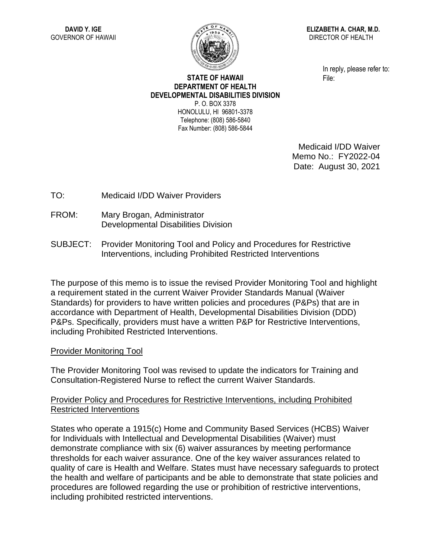

**ELIZABETH A. CHAR, M.D.** DIRECTOR OF HEALTH

> In reply, please refer to: File:

## **STATE OF HAWAII DEPARTMENT OF HEALTH DEVELOPMENTAL DISABILITIES DIVISION** P. O. BOX 3378 HONOLULU, HI 96801-3378

Telephone: (808) 586-5840 Fax Number: (808) 586-5844

> Medicaid I/DD Waiver Memo No.: FY2022-04 Date: August 30, 2021

TO: Medicaid I/DD Waiver Providers

- FROM: Mary Brogan, Administrator Developmental Disabilities Division
- SUBJECT: Provider Monitoring Tool and Policy and Procedures for Restrictive Interventions, including Prohibited Restricted Interventions

The purpose of this memo is to issue the revised Provider Monitoring Tool and highlight a requirement stated in the current Waiver Provider Standards Manual (Waiver Standards) for providers to have written policies and procedures (P&Ps) that are in accordance with Department of Health, Developmental Disabilities Division (DDD) P&Ps. Specifically, providers must have a written P&P for Restrictive Interventions, including Prohibited Restricted Interventions.

## Provider Monitoring Tool

The Provider Monitoring Tool was revised to update the indicators for Training and Consultation-Registered Nurse to reflect the current Waiver Standards.

## Provider Policy and Procedures for Restrictive Interventions, including Prohibited Restricted Interventions

States who operate a 1915(c) Home and Community Based Services (HCBS) Waiver for Individuals with Intellectual and Developmental Disabilities (Waiver) must demonstrate compliance with six (6) waiver assurances by meeting performance thresholds for each waiver assurance. One of the key waiver assurances related to quality of care is Health and Welfare. States must have necessary safeguards to protect the health and welfare of participants and be able to demonstrate that state policies and procedures are followed regarding the use or prohibition of restrictive interventions, including prohibited restricted interventions.